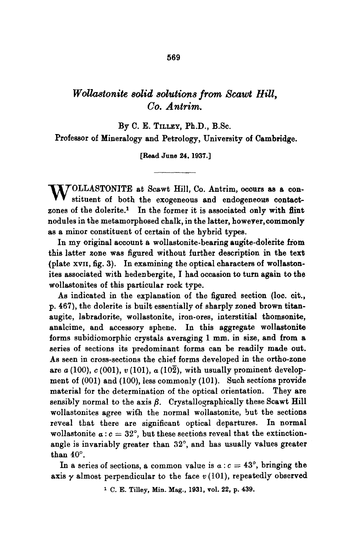## *Wollastonite solid solutions from Scawt Hill, Co. Antrim.*

By C. E. TILLEY, Ph.D., B.Sc.

Professor of Mineralogy and Petrology, University of Cambridge.

[Read June 24. 1937.]

W OLLASTONITE at Scawt Hill, Co. Antrim, occurs as a con-<br>stituent of both the exogeneous and endogeneous contactzones of the dolerite.<sup>1</sup> In the former it is associated only with flint nodules in the metamorphosed chalk, in the latter, however, commonly as a minor constituent of certain of the hybrid types.

In my original account a wollastonite-bearing augite-dolerite from this latter zone was figured without further description in the text (plate xvII, fig. 3). In examining the optical characters of wollastonites associated with hedenbergite, I had occasion to turn again to the wollastonites of this particular rock type.

As indicated in the explanation of the figured section (loc. cir., p. 467), the dolerite is built essentially of sharply zoned brown titanaugite, labradorite, wollastonite, iron-ores, interstitial thomsonite, analcime, and accessory sphene. In this aggregate wollastonite forms subidiomorphic crystals averaging 1 mm. in size, and from a series of sections its predominant forms can be readily made out. As seen in cross-sections the chief forms developed in the ortho-zone are  $a(100)$ ,  $c(001)$ ,  $v(101)$ ,  $a(10\overline{2})$ , with usually prominent development of (001) and (100), less commonly (101). Such sections provide material for thc determination of the optical orientation. They **are**  sensibly normal to the axis  $\beta$ . Crystallographically these Scawt Hill wollastonites agree with the normal wollastonite, but the sections reveal that there are significant optical departures. In normal wollastonite  $a : c = 32^{\circ}$ , but these sections reveal that the extinctionangle is invariably greater than  $32^\circ$ , and has usually values greater than  $40^\circ$ .

In a series of sections, a common value is  $a : c = 43^\circ$ , bringing the axis  $\gamma$  almost perpendicular to the face  $v(101)$ , repeatedly observed

<sup>1</sup> C. E. Tilley, Min. Mag., 1931, vol. 22, p. 439.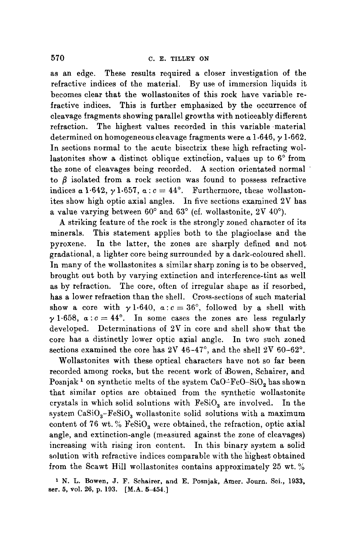as an edge. These results required a closer investigation of the refractive indices of the material. By use of immersion liquids it becomes clear that the wollastonites of this rock have variable refractive indices. This is further emphasized by the occurrence of cleavage fragments showing parallel growths with noticeably different refraction. The highest values recorded in this variable material determined on homogeneous cleavage fragments were  $\alpha$  1.646,  $\gamma$  1.662. In sections normal to the acute bisectrix these high refracting wollastonites show a distinct oblique extinction, values up to  $6°$  from the zone of cleavages being recorded. A section orientated normal to  $\beta$  isolated from a rock section was found to possess refractive indices  $\alpha$  1.642,  $\gamma$  1.657,  $\alpha$  :  $c = 44^{\circ}$ . Furthermore, these wollastonites show high optic axial angles. In five sections examined 2V has a value varying between  $60^{\circ}$  and  $63^{\circ}$  (cf. wollastonite, 2V  $40^{\circ}$ ).

A striking feature of the rock is the strongly zoned character of its minerals. This statement applies both to the plagioclase and the pyroxene. In the latter, the zones are sharply defined and not gradationai, a lighter core being surrounded by a dark-coloured shell. In many of the wollastonites a similar sharp zoning is to be observed, brought out both by varying extinction and interference-tint as well as by refraction. The core, often of irregular shape as if resorbed, has a lower refraction than the shell. Cross-sections of such material show a core with  $\gamma$  1.640,  $a: c = 36^{\circ}$ , followed by a shell with  $\gamma$  1.658,  $a: c = 44^\circ$ . In some cases the zones are less regularly developed. Determinations of 2V in core and shell show that the core has a distinctly lower optic axial angle. In two such zoned sections examined the core has  $2V$  46-47°, and the shell  $2V$  60-62°.

Wollastonites with these optical characters have not so far been recorded among rocks, but the recent work of Bowen, Schairer, and Posnjak<sup>1</sup> on synthetic melts of the system  $CaO-FeO-SiO<sub>2</sub>$  has shown that similar optics are obtained from the synthetic wollastonite crystals in which solid solutions with  $FeSiO<sub>3</sub>$  are involved. In the system  $CaSiO<sub>3</sub> - FeSiO<sub>3</sub>$  wollastonite solid solutions with a maximum content of 76 wt. %  $FeSiO<sub>3</sub>$  were obtained, the refraction, optic axial angle, and extinction-angle (measured against the zone of cleavages) increasing with rising iron content. In this binary system a solid solution with refractive indices comparable with the highest obtained from the Scawt Hill wollastonites contains approximately 25 wt. %

1 N. L. Bowen, J. F. Schairer, and E. Posnjak, Amer. Journ. Sci., 1933, ser. 5, vol. 26, p. 193. [M.A. 5-454.]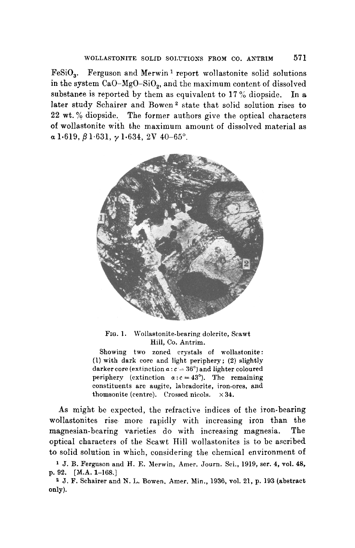$FeSiO<sub>3</sub>$ . Ferguson and Merwin<sup>1</sup> report wollastonite solid solutions in the system CaO-MgO-SiO<sub>2</sub>, and the maximum content of dissolved substance is reported by them as equivalent to  $17\%$  diopside. In a later study Schairer and Bowen<sup>2</sup> state that solid solution rises to 22 wt. % diopside. The former authors give the optical characters of wollastonite with the maximum amount of dissolved material as  $a 1.619, \beta 1.631, \gamma 1.634, 2V 40-65^{\circ}$ .



FIG. 1. Wollastonite-bearing dolerite, Scawt Hill, Co. Autrim.

Showing two zoned crystals of wollastonite: (1) with dark core and light periphery; (2) slightly darker core (extinction  $a : c = 36^\circ$ ) and lighter coloured periphery (extinction  $\alpha : c = 43^{\circ}$ ). The remaining constituents are augite, labradorite, iron-ores, and thomsonite (centre). Crossed nicols.  $\times 34$ .

As might be expected, the refractive indices of the iron-bearing wollastonites rise more rapidly with increasing iron than the magnesian-bearing varieties do with increasing magnesia. The optical characters of the Scawt Hill wollastonites is to be ascribed to solid solution in which, considering the chemical environment of

<sup>1</sup> J. B. Ferguson and H. E. Merwin, Amer. Journ. Sci., 1919, ser. 4, vol. 48, p. 92. [M.A. 1-168.]

<sup>2</sup> J. F. Schairer and N. L. Bowen, Amer. Min., 1936, vol. 21, p. 193 (abstract only).